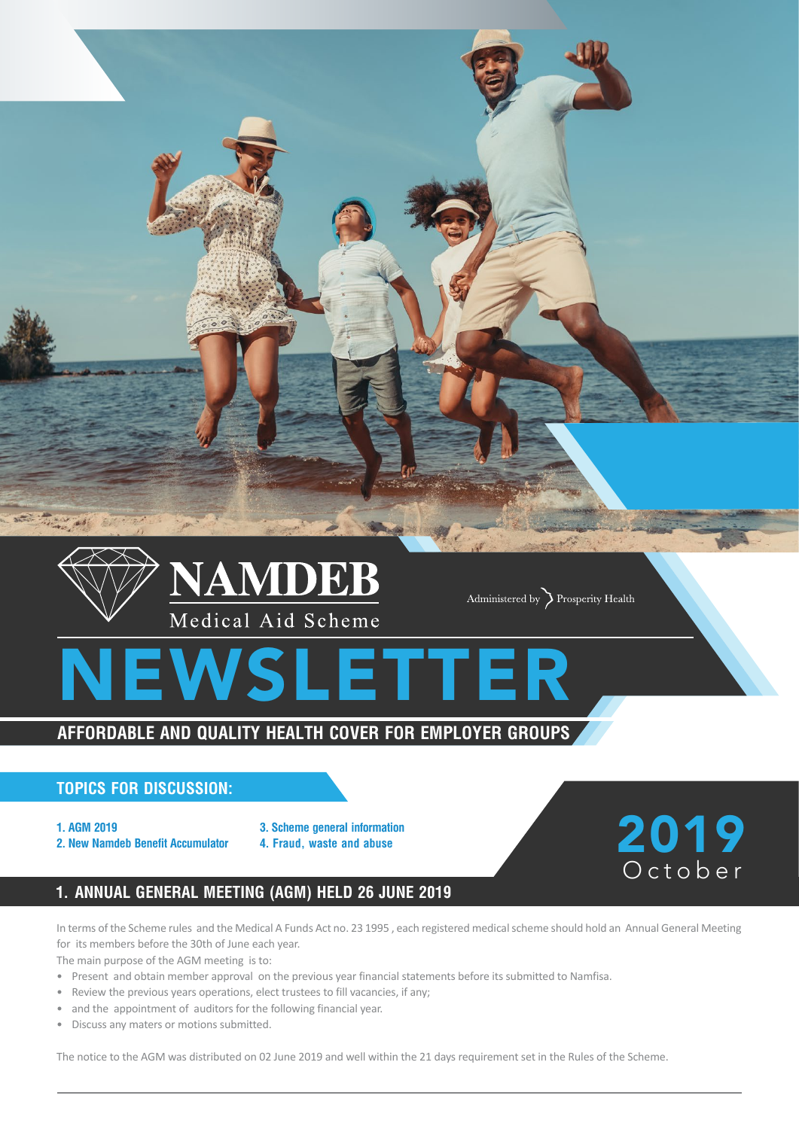

## **Topics for discussion:**

- **1. AGM 2019**
- **2. New Namdeb Benefit Accumulator**
- **3. Scheme general information**
- **4. Fraud, waste and abuse**

# **1. Annual General Meeting (AGM) held 26 June 2019**

In terms of the Scheme rules and the Medical A Funds Act no. 23 1995 , each registered medical scheme should hold an Annual General Meeting for its members before the 30th of June each year.

2019

October

The main purpose of the AGM meeting is to:

- • Present and obtain member approval on the previous year financial statements before its submitted to Namfisa.
- Review the previous years operations, elect trustees to fill vacancies, if any;
- and the appointment of auditors for the following financial year.
- • Discuss any maters or motions submitted.

The notice to the AGM was distributed on 02 June 2019 and well within the 21 days requirement set in the Rules of the Scheme.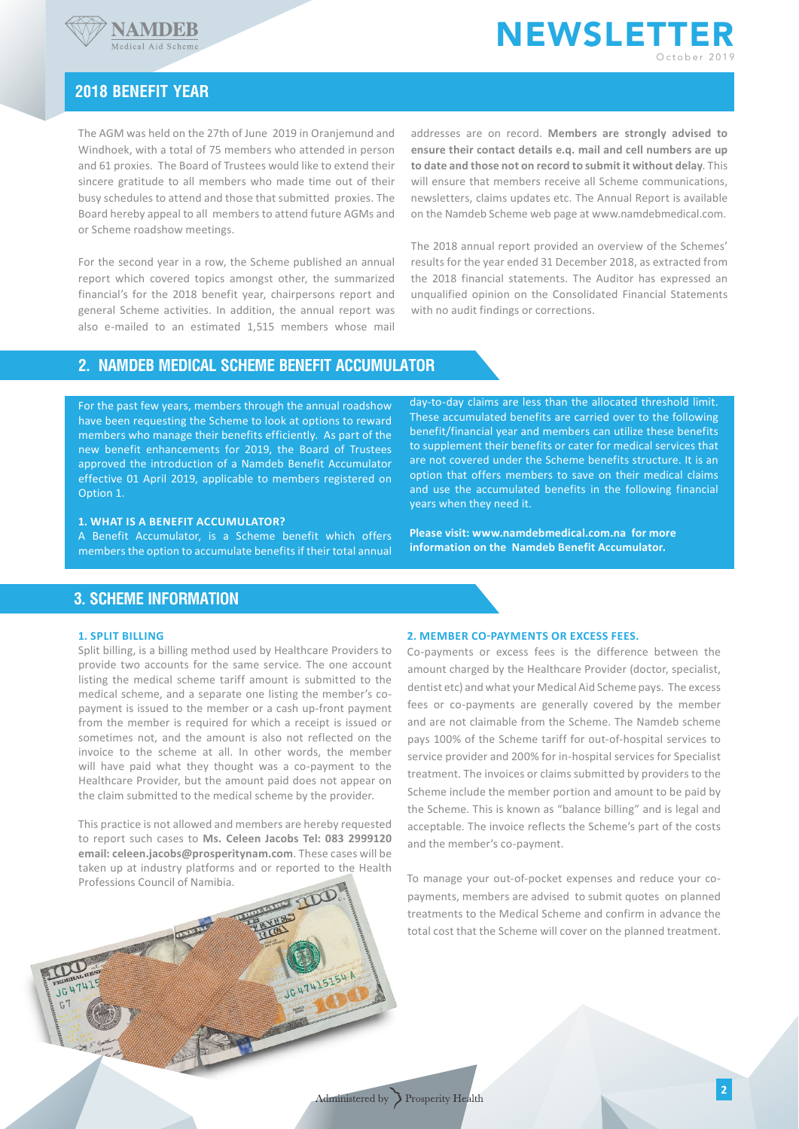



## **2018 Benefit year**

The AGM was held on the 27th of June 2019 in Oranjemund and Windhoek, with a total of 75 members who attended in person and 61 proxies. The Board of Trustees would like to extend their sincere gratitude to all members who made time out of their busy schedules to attend and those that submitted proxies. The Board hereby appeal to all members to attend future AGMs and or Scheme roadshow meetings.

For the second year in a row, the Scheme published an annual report which covered topics amongst other, the summarized financial's for the 2018 benefit year, chairpersons report and general Scheme activities. In addition, the annual report was also e-mailed to an estimated 1,515 members whose mail

addresses are on record. **Members are strongly advised to ensure their contact details e.q. mail and cell numbers are up to date and those not on record to submit it without delay**. This will ensure that members receive all Scheme communications, newsletters, claims updates etc. The Annual Report is available on the Namdeb Scheme web page at www.namdebmedical.com.

The 2018 annual report provided an overview of the Schemes' results for the year ended 31 December 2018, as extracted from the 2018 financial statements. The Auditor has expressed an unqualified opinion on the Consolidated Financial Statements with no audit findings or corrections.

## **2. Namdeb Medical Scheme Benefit Accumulator**

For the past few years, members through the annual roadshow have been requesting the Scheme to look at options to reward members who manage their benefits efficiently. As part of the new benefit enhancements for 2019, the Board of Trustees approved the introduction of a Namdeb Benefit Accumulator effective 01 April 2019, applicable to members registered on Option 1.

#### **1. What is a Benefit Accumulator?**

A Benefit Accumulator, is a Scheme benefit which offers members the option to accumulate benefits if their total annual

day-to-day claims are less than the allocated threshold limit. These accumulated benefits are carried over to the following benefit/financial year and members can utilize these benefits to supplement their benefits or cater for medical services that are not covered under the Scheme benefits structure. It is an option that offers members to save on their medical claims and use the accumulated benefits in the following financial years when they need it.

**Please visit: www.namdebmedical.com.na for more information on the Namdeb Benefit Accumulator.** 

## **3. Scheme Information**

#### **1. Split Billing**

 $JG$ 

Split billing, is a billing method used by Healthcare Providers to provide two accounts for the same service. The one account listing the medical scheme tariff amount is submitted to the medical scheme, and a separate one listing the member's copayment is issued to the member or a cash up-front payment from the member is required for which a receipt is issued or sometimes not, and the amount is also not reflected on the invoice to the scheme at all. In other words, the member will have paid what they thought was a co-payment to the Healthcare Provider, but the amount paid does not appear on the claim submitted to the medical scheme by the provider.

This practice is not allowed and members are hereby requested to report such cases to **Ms. Celeen Jacobs Tel: 083 2999120 email: celeen.jacobs@prosperitynam.com**. These cases will be taken up at industry platforms and or reported to the Health Professions Council of Namibia.

#### **2. Member co-payments or Excess Fees.**

Co-payments or excess fees is the difference between the amount charged by the Healthcare Provider (doctor, specialist, dentist etc) and what your Medical Aid Scheme pays. The excess fees or co-payments are generally covered by the member and are not claimable from the Scheme. The Namdeb scheme pays 100% of the Scheme tariff for out-of-hospital services to service provider and 200% for in-hospital services for Specialist treatment. The invoices or claims submitted by providers to the Scheme include the member portion and amount to be paid by the Scheme. This is known as "balance billing" and is legal and acceptable. The invoice reflects the Scheme's part of the costs and the member's co-payment.

To manage your out-of-pocket expenses and reduce your copayments, members are advised to submit quotes on planned treatments to the Medical Scheme and confirm in advance the total cost that the Scheme will cover on the planned treatment.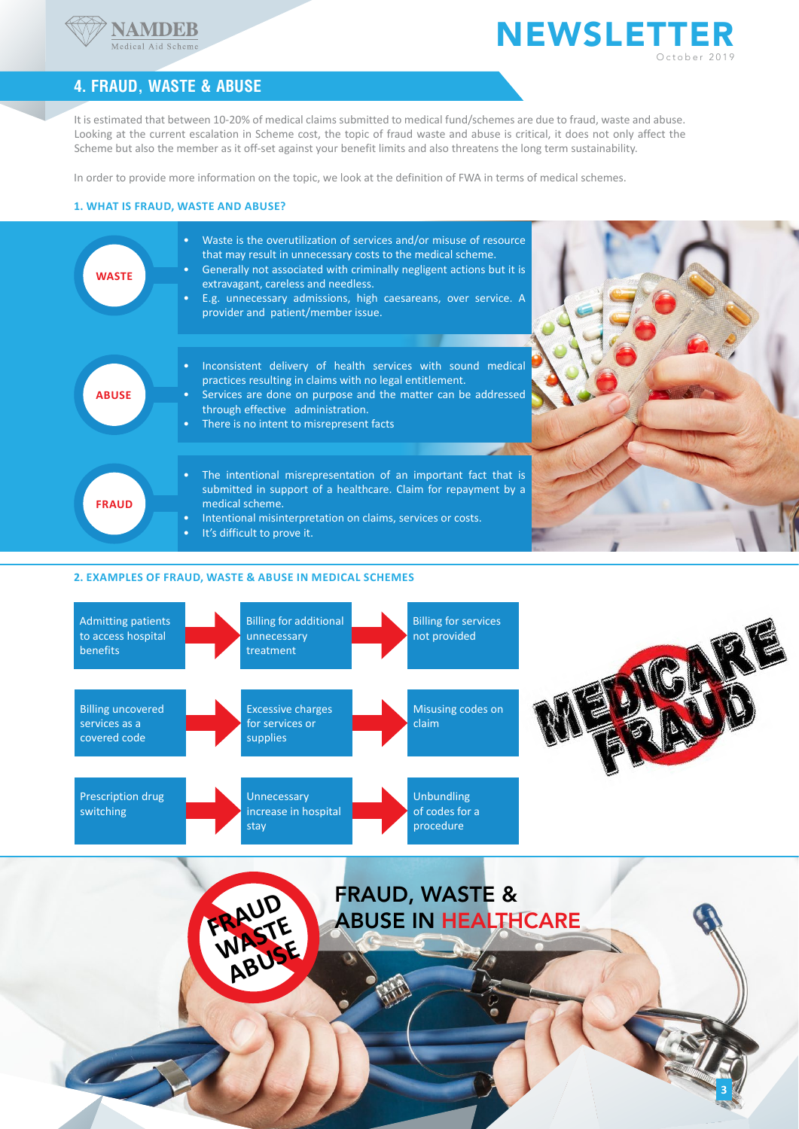

## **NEWSLETTER** October 2019

**3**

## **4. Fraud, Waste & Abuse**

It is estimated that between 10-20% of medical claims submitted to medical fund/schemes are due to fraud, waste and abuse. Looking at the current escalation in Scheme cost, the topic of fraud waste and abuse is critical, it does not only affect the Scheme but also the member as it off-set against your benefit limits and also threatens the long term sustainability.

In order to provide more information on the topic, we look at the definition of FWA in terms of medical schemes.

### **1. What is Fraud, Waste and Abuse?**



#### **2. Examples of Fraud, Waste & Abuse in Medical Schemes**